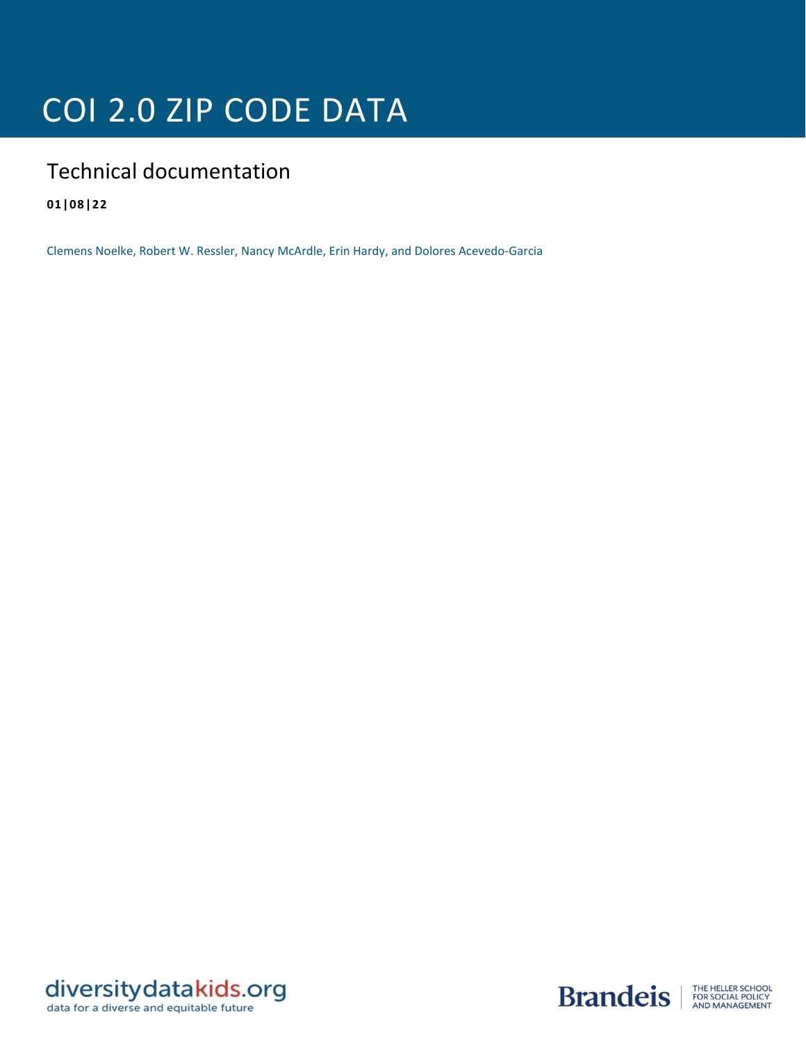# COI 2.0 ZIP CODE DATA

# Technical documentation

**01|08|22**

Clemens Noelke, Robert W. Ressler, Nancy McArdle, Erin Hardy, and Dolores Acevedo-Garcia



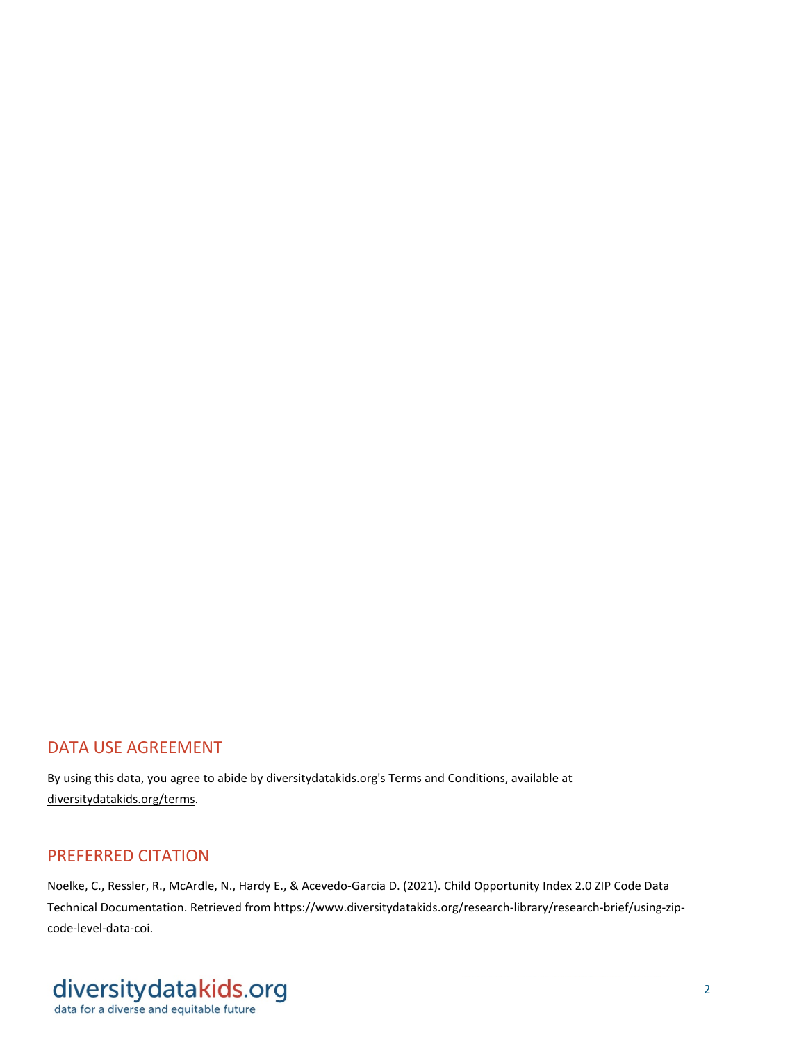### DATA USE AGREEMENT

By using this data, you agree to abide by diversitydatakids.org's Terms and Conditions, available at [diversitydatakids.org/terms.](https://www.diversitydatakids.org/terms)

## PREFERRED CITATION

Noelke, C., Ressler, R., McArdle, N., Hardy E., & Acevedo-Garcia D. (2021). Child Opportunity Index 2.0 ZIP Code Data Technical Documentation. Retrieved from https://www.diversitydatakids.org/research-library/research-brief/using-zipcode-level-data-coi.

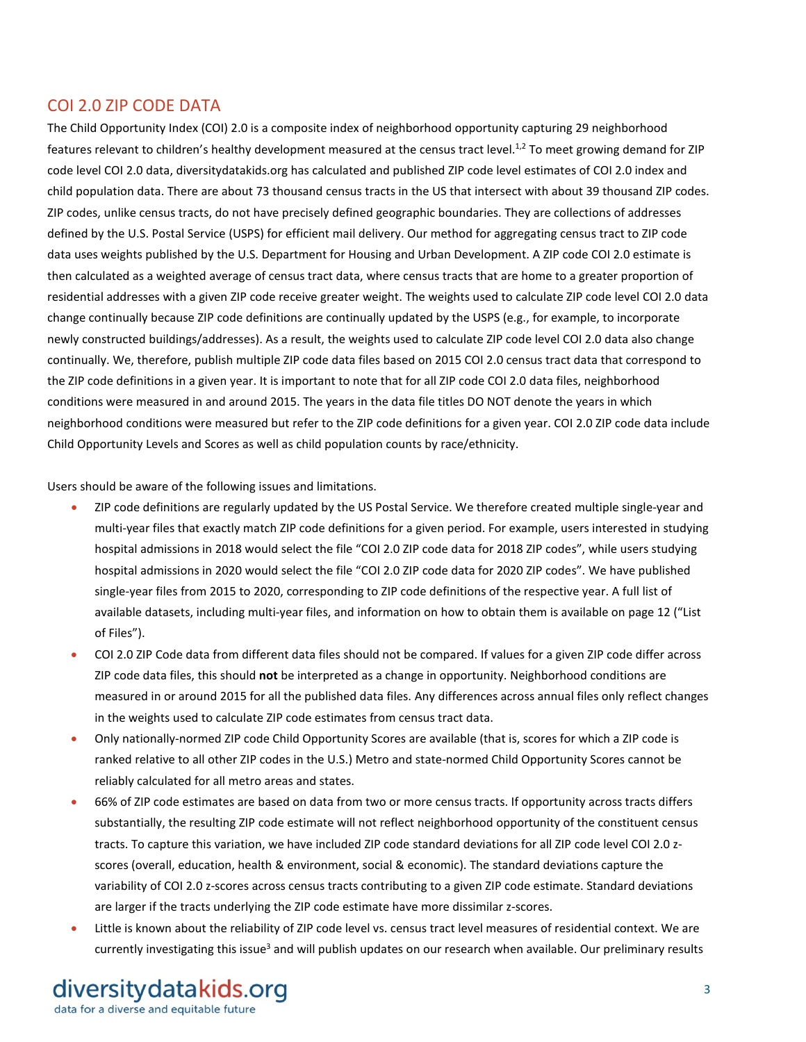### COI 2.0 ZIP CODE DATA

The Child Opportunity Index (COI) 2.0 is a composite index of neighborhood opportunity capturing 29 neighborhood features relevant to children's healthy development measured at the census tract level.<sup>1,2</sup> To meet growing demand for ZIP code level COI 2.0 data, diversitydatakids.org has calculated and published ZIP code level estimates of COI 2.0 index and child population data. There are about 73 thousand census tracts in the US that intersect with about 39 thousand ZIP codes. ZIP codes, unlike census tracts, do not have precisely defined geographic boundaries. They are collections of addresses defined by the U.S. Postal Service (USPS) for efficient mail delivery. Our method for aggregating census tract to ZIP code data uses weights published by the U.S. Department for Housing and Urban Development. A ZIP code COI 2.0 estimate is then calculated as a weighted average of census tract data, where census tracts that are home to a greater proportion of residential addresses with a given ZIP code receive greater weight. The weights used to calculate ZIP code level COI 2.0 data change continually because ZIP code definitions are continually updated by the USPS (e.g., for example, to incorporate newly constructed buildings/addresses). As a result, the weights used to calculate ZIP code level COI 2.0 data also change continually. We, therefore, publish multiple ZIP code data files based on 2015 COI 2.0 census tract data that correspond to the ZIP code definitions in a given year. It is important to note that for all ZIP code COI 2.0 data files, neighborhood conditions were measured in and around 2015. The years in the data file titles DO NOT denote the years in which neighborhood conditions were measured but refer to the ZIP code definitions for a given year. COI 2.0 ZIP code data include Child Opportunity Levels and Scores as well as child population counts by race/ethnicity.

Users should be aware of the following issues and limitations.

- ZIP code definitions are regularly updated by the US Postal Service. We therefore created multiple single-year and multi-year files that exactly match ZIP code definitions for a given period. For example, users interested in studying hospital admissions in 2018 would select the file "COI 2.0 ZIP code data for 2018 ZIP codes", while users studying hospital admissions in 2020 would select the file "COI 2.0 ZIP code data for 2020 ZIP codes". We have published single-year files from 2015 to 2020, corresponding to ZIP code definitions of the respective year. A full list of available datasets, including multi-year files, and information on how to obtain them is available on page 12 ("List of Files").
- COI 2.0 ZIP Code data from different data files should not be compared. If values for a given ZIP code differ across ZIP code data files, this should **not** be interpreted as a change in opportunity. Neighborhood conditions are measured in or around 2015 for all the published data files. Any differences across annual files only reflect changes in the weights used to calculate ZIP code estimates from census tract data.
- Only nationally-normed ZIP code Child Opportunity Scores are available (that is, scores for which a ZIP code is ranked relative to all other ZIP codes in the U.S.) Metro and state-normed Child Opportunity Scores cannot be reliably calculated for all metro areas and states.
- 66% of ZIP code estimates are based on data from two or more census tracts. If opportunity across tracts differs substantially, the resulting ZIP code estimate will not reflect neighborhood opportunity of the constituent census tracts. To capture this variation, we have included ZIP code standard deviations for all ZIP code level COI 2.0 zscores (overall, education, health & environment, social & economic). The standard deviations capture the variability of COI 2.0 z-scores across census tracts contributing to a given ZIP code estimate. Standard deviations are larger if the tracts underlying the ZIP code estimate have more dissimilar z-scores.
- Little is known about the reliability of ZIP code level vs. census tract level measures of residential context. We are currently investigating this issue<sup>3</sup> and will publish updates on our research when available. Our preliminary results

diversity datakids.org data for a diverse and equitable future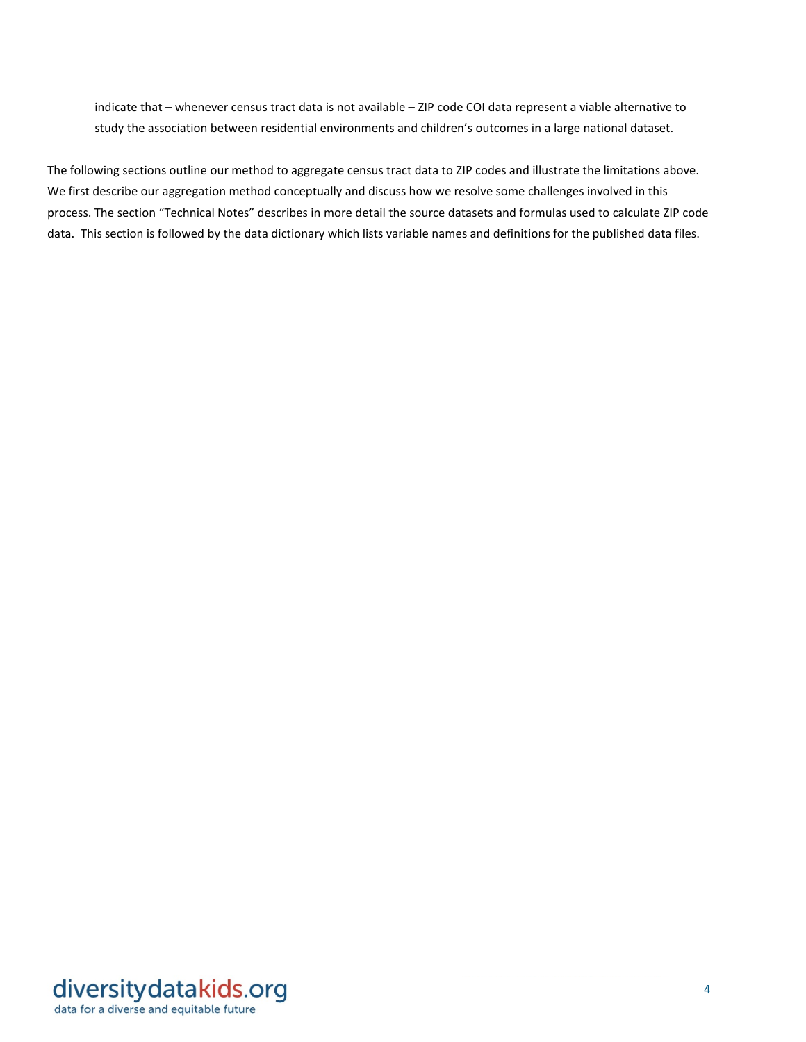indicate that – whenever census tract data is not available – ZIP code COI data represent a viable alternative to study the association between residential environments and children's outcomes in a large national dataset.

The following sections outline our method to aggregate census tract data to ZIP codes and illustrate the limitations above. We first describe our aggregation method conceptually and discuss how we resolve some challenges involved in this process. The section "Technical Notes" describes in more detail the source datasets and formulas used to calculate ZIP code data. This section is followed by the data dictionary which lists variable names and definitions for the published data files.

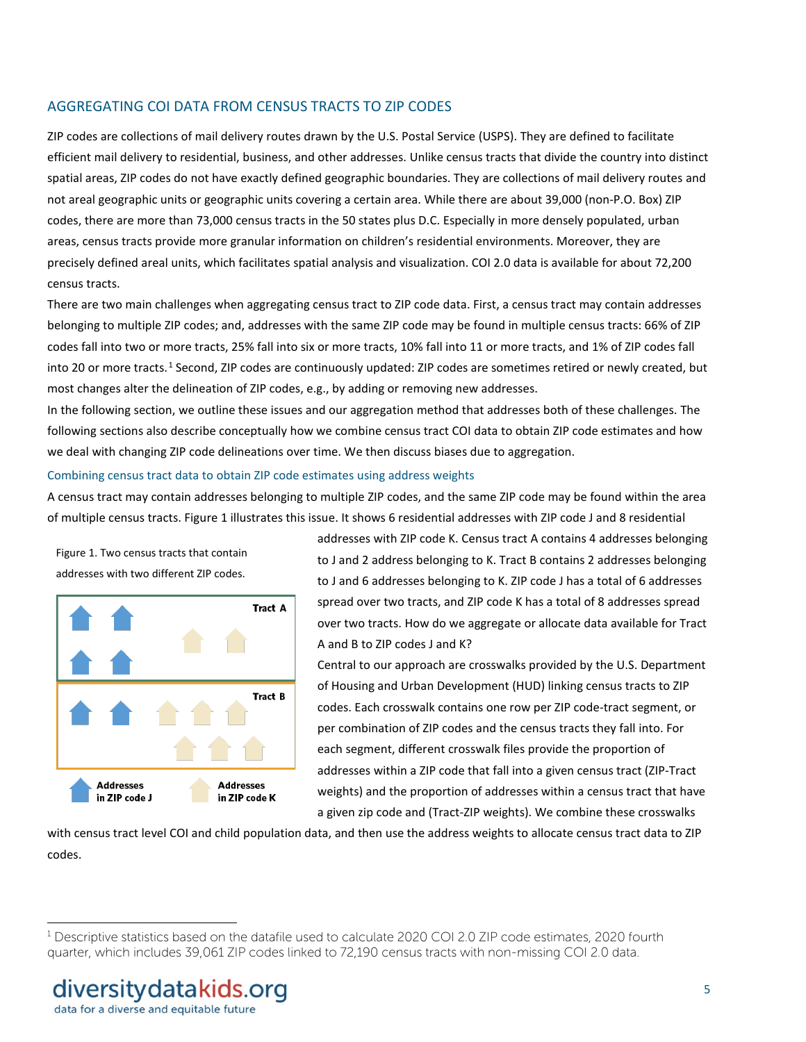#### AGGREGATING COI DATA FROM CENSUS TRACTS TO ZIP CODES

ZIP codes are collections of mail delivery routes drawn by the U.S. Postal Service (USPS). They are defined to facilitate efficient mail delivery to residential, business, and other addresses. Unlike census tracts that divide the country into distinct spatial areas, ZIP codes do not have exactly defined geographic boundaries. They are collections of mail delivery routes and not areal geographic units or geographic units covering a certain area. While there are about 39,000 (non-P.O. Box) ZIP codes, there are more than 73,000 census tracts in the 50 states plus D.C. Especially in more densely populated, urban areas, census tracts provide more granular information on children's residential environments. Moreover, they are precisely defined areal units, which facilitates spatial analysis and visualization. COI 2.0 data is available for about 72,200 census tracts.

There are two main challenges when aggregating census tract to ZIP code data. First, a census tract may contain addresses belonging to multiple ZIP codes; and, addresses with the same ZIP code may be found in multiple census tracts: 66% of ZIP codes fall into two or more tracts, 25% fall into six or more tracts, 10% fall into 11 or more tracts, and 1% of ZIP codes fall into 20 or more tracts.<sup>[1](#page-4-0)</sup> Second, ZIP codes are continuously updated: ZIP codes are sometimes retired or newly created, but most changes alter the delineation of ZIP codes, e.g., by adding or removing new addresses.

In the following section, we outline these issues and our aggregation method that addresses both of these challenges. The following sections also describe conceptually how we combine census tract COI data to obtain ZIP code estimates and how we deal with changing ZIP code delineations over time. We then discuss biases due to aggregation.

#### Combining census tract data to obtain ZIP code estimates using address weights

A census tract may contain addresses belonging to multiple ZIP codes, and the same ZIP code may be found within the area of multiple census tracts. Figure 1 illustrates this issue. It shows 6 residential addresses with ZIP code J and 8 residential

Figure 1. Two census tracts that contain addresses with two different ZIP codes.



addresses with ZIP code K. Census tract A contains 4 addresses belonging to J and 2 address belonging to K. Tract B contains 2 addresses belonging to J and 6 addresses belonging to K. ZIP code J has a total of 6 addresses spread over two tracts, and ZIP code K has a total of 8 addresses spread over two tracts. How do we aggregate or allocate data available for Tract A and B to ZIP codes J and K?

Central to our approach are crosswalks provided by the U.S. Department of Housing and Urban Development (HUD) linking census tracts to ZIP codes. Each crosswalk contains one row per ZIP code-tract segment, or per combination of ZIP codes and the census tracts they fall into. For each segment, different crosswalk files provide the proportion of addresses within a ZIP code that fall into a given census tract (ZIP-Tract weights) and the proportion of addresses within a census tract that have a given zip code and (Tract-ZIP weights). We combine these crosswalks

with census tract level COI and child population data, and then use the address weights to allocate census tract data to ZIP codes.

 $\overline{a}$ 

<span id="page-4-0"></span> $1$  Descriptive statistics based on the datafile used to calculate 2020 COI 2.0 ZIP code estimates, 2020 fourth quarter, which includes 39,061 ZIP codes linked to 72,190 census tracts with non-missing COI 2.0 data.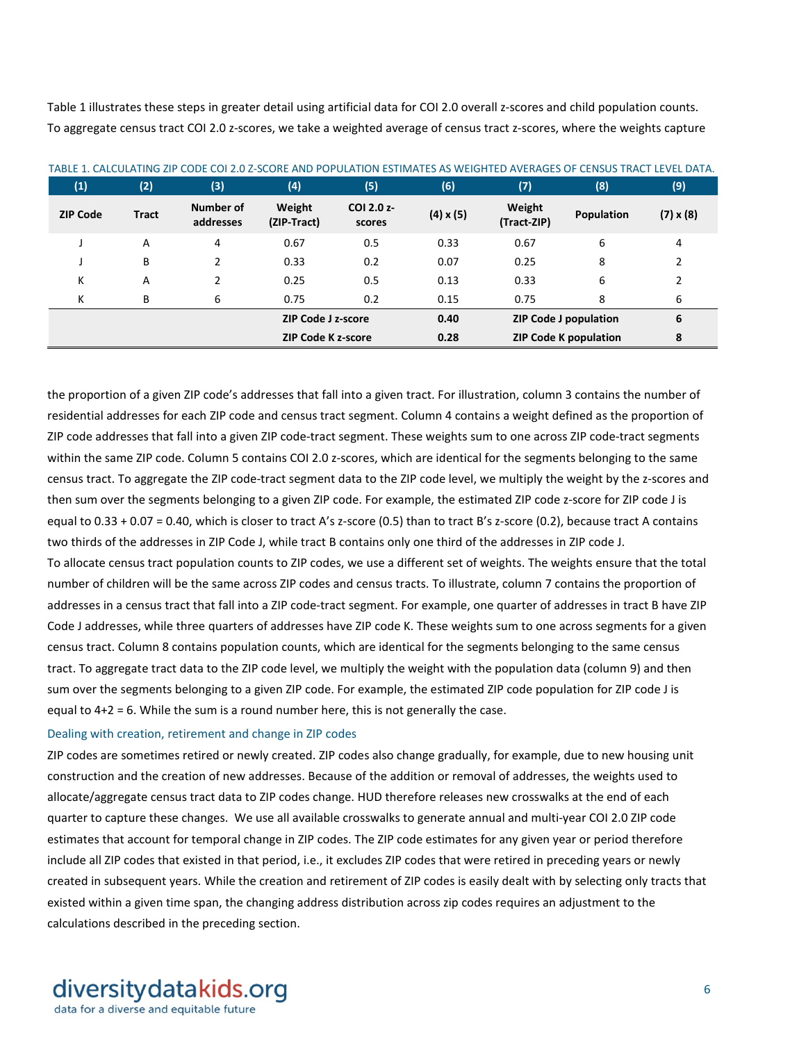Table 1 illustrates these steps in greater detail using artificial data for COI 2.0 overall z-scores and child population counts. To aggregate census tract COI 2.0 z-scores, we take a weighted average of census tract z-scores, where the weights capture

| (1)             | (2)          | (3)                    | (4)                       | (5)                  | (6)              | (7)                          | (8)        | (9)              |
|-----------------|--------------|------------------------|---------------------------|----------------------|------------------|------------------------------|------------|------------------|
| <b>ZIP Code</b> | <b>Tract</b> | Number of<br>addresses | Weight<br>(ZIP-Tract)     | COI 2.0 z-<br>scores | $(4) \times (5)$ | Weight<br>(Tract-ZIP)        | Population | $(7) \times (8)$ |
|                 | A            | 4                      | 0.67                      | 0.5                  | 0.33             | 0.67                         | 6          | 4                |
|                 | В            | 2                      | 0.33                      | 0.2                  | 0.07             | 0.25                         | 8          | 2                |
| К               | A            | 2                      | 0.25                      | 0.5                  | 0.13             | 0.33                         | 6          | 2                |
| К               | В            | 6                      | 0.75                      | 0.2                  | 0.15             | 0.75                         | 8          | 6                |
|                 |              |                        | <b>ZIP Code J z-score</b> |                      | 0.40             | ZIP Code J population        |            | 6                |
|                 |              |                        | <b>ZIP Code K z-score</b> |                      | 0.28             | <b>ZIP Code K population</b> |            | 8                |

TABLE 1. CALCULATING ZIP CODE COI 2.0 Z-SCORE AND POPULATION ESTIMATES AS WEIGHTED AVERAGES OF CENSUS TRACT LEVEL DATA.

the proportion of a given ZIP code's addresses that fall into a given tract. For illustration, column 3 contains the number of residential addresses for each ZIP code and census tract segment. Column 4 contains a weight defined as the proportion of ZIP code addresses that fall into a given ZIP code-tract segment. These weights sum to one across ZIP code-tract segments within the same ZIP code. Column 5 contains COI 2.0 z-scores, which are identical for the segments belonging to the same census tract. To aggregate the ZIP code-tract segment data to the ZIP code level, we multiply the weight by the z-scores and then sum over the segments belonging to a given ZIP code. For example, the estimated ZIP code z-score for ZIP code J is equal to 0.33 + 0.07 = 0.40, which is closer to tract A's z-score (0.5) than to tract B's z-score (0.2), because tract A contains two thirds of the addresses in ZIP Code J, while tract B contains only one third of the addresses in ZIP code J. To allocate census tract population counts to ZIP codes, we use a different set of weights. The weights ensure that the total number of children will be the same across ZIP codes and census tracts. To illustrate, column 7 contains the proportion of addresses in a census tract that fall into a ZIP code-tract segment. For example, one quarter of addresses in tract B have ZIP Code J addresses, while three quarters of addresses have ZIP code K. These weights sum to one across segments for a given census tract. Column 8 contains population counts, which are identical for the segments belonging to the same census tract. To aggregate tract data to the ZIP code level, we multiply the weight with the population data (column 9) and then sum over the segments belonging to a given ZIP code. For example, the estimated ZIP code population for ZIP code J is equal to 4+2 = 6. While the sum is a round number here, this is not generally the case.

#### Dealing with creation, retirement and change in ZIP codes

ZIP codes are sometimes retired or newly created. ZIP codes also change gradually, for example, due to new housing unit construction and the creation of new addresses. Because of the addition or removal of addresses, the weights used to allocate/aggregate census tract data to ZIP codes change. HUD therefore releases new crosswalks at the end of each quarter to capture these changes. We use all available crosswalks to generate annual and multi-year COI 2.0 ZIP code estimates that account for temporal change in ZIP codes. The ZIP code estimates for any given year or period therefore include all ZIP codes that existed in that period, i.e., it excludes ZIP codes that were retired in preceding years or newly created in subsequent years. While the creation and retirement of ZIP codes is easily dealt with by selecting only tracts that existed within a given time span, the changing address distribution across zip codes requires an adjustment to the calculations described in the preceding section.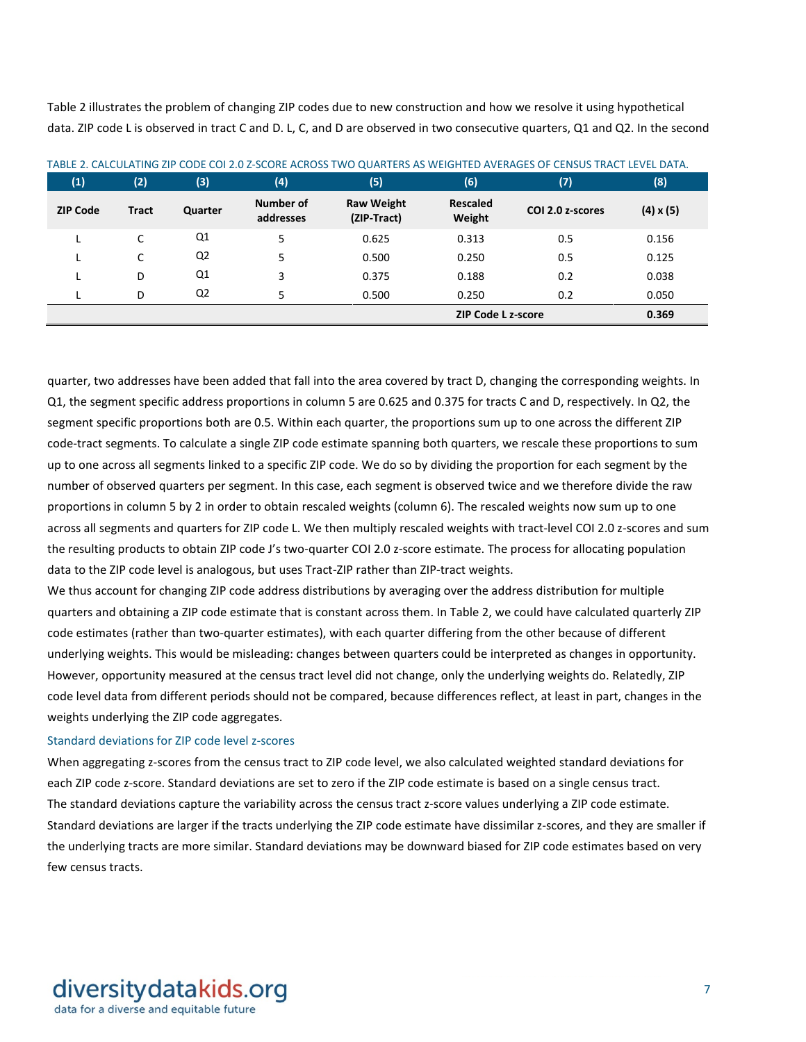Table 2 illustrates the problem of changing ZIP codes due to new construction and how we resolve it using hypothetical data. ZIP code L is observed in tract C and D. L, C, and D are observed in two consecutive quarters, Q1 and Q2. In the second

| (1)             | (2)          | (3)            | (4)                    | (5)                              | (6)                       | (7)              | (8)              |
|-----------------|--------------|----------------|------------------------|----------------------------------|---------------------------|------------------|------------------|
| <b>ZIP Code</b> | <b>Tract</b> | Quarter        | Number of<br>addresses | <b>Raw Weight</b><br>(ZIP-Tract) | <b>Rescaled</b><br>Weight | COI 2.0 z-scores | $(4) \times (5)$ |
|                 | C            | Q1             | 5                      | 0.625                            | 0.313                     | 0.5              | 0.156            |
|                 | C            | Q <sub>2</sub> | 5                      | 0.500                            | 0.250                     | 0.5              | 0.125            |
|                 | D            | Q1             | 3                      | 0.375                            | 0.188                     | 0.2              | 0.038            |
|                 | D            | Q <sub>2</sub> | 5                      | 0.500                            | 0.250                     | 0.2              | 0.050            |
|                 |              |                |                        |                                  | <b>ZIP Code L z-score</b> |                  | 0.369            |

TABLE 2. CALCULATING ZIP CODE COI 2.0 Z-SCORE ACROSS TWO QUARTERS AS WEIGHTED AVERAGES OF CENSUS TRACT LEVEL DATA.

quarter, two addresses have been added that fall into the area covered by tract D, changing the corresponding weights. In Q1, the segment specific address proportions in column 5 are 0.625 and 0.375 for tracts C and D, respectively. In Q2, the segment specific proportions both are 0.5. Within each quarter, the proportions sum up to one across the different ZIP code-tract segments. To calculate a single ZIP code estimate spanning both quarters, we rescale these proportions to sum up to one across all segments linked to a specific ZIP code. We do so by dividing the proportion for each segment by the number of observed quarters per segment. In this case, each segment is observed twice and we therefore divide the raw proportions in column 5 by 2 in order to obtain rescaled weights (column 6). The rescaled weights now sum up to one across all segments and quarters for ZIP code L. We then multiply rescaled weights with tract-level COI 2.0 z-scores and sum the resulting products to obtain ZIP code J's two-quarter COI 2.0 z-score estimate. The process for allocating population data to the ZIP code level is analogous, but uses Tract-ZIP rather than ZIP-tract weights.

We thus account for changing ZIP code address distributions by averaging over the address distribution for multiple quarters and obtaining a ZIP code estimate that is constant across them. In Table 2, we could have calculated quarterly ZIP code estimates (rather than two-quarter estimates), with each quarter differing from the other because of different underlying weights. This would be misleading: changes between quarters could be interpreted as changes in opportunity. However, opportunity measured at the census tract level did not change, only the underlying weights do. Relatedly, ZIP code level data from different periods should not be compared, because differences reflect, at least in part, changes in the weights underlying the ZIP code aggregates.

#### Standard deviations for ZIP code level z-scores

When aggregating z-scores from the census tract to ZIP code level, we also calculated weighted standard deviations for each ZIP code z-score. Standard deviations are set to zero if the ZIP code estimate is based on a single census tract. The standard deviations capture the variability across the census tract z-score values underlying a ZIP code estimate. Standard deviations are larger if the tracts underlying the ZIP code estimate have dissimilar z-scores, and they are smaller if the underlying tracts are more similar. Standard deviations may be downward biased for ZIP code estimates based on very few census tracts.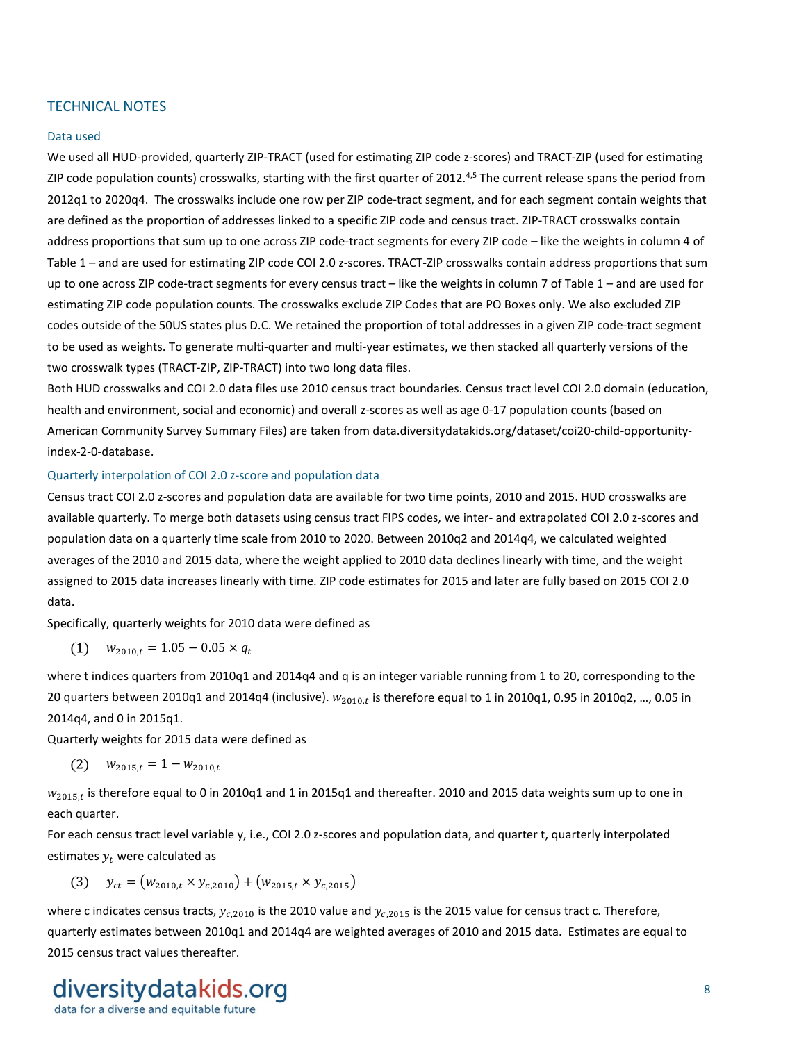#### TECHNICAL NOTES

#### Data used

We used all HUD-provided, quarterly ZIP-TRACT (used for estimating ZIP code z-scores) and TRACT-ZIP (used for estimating ZIP code population counts) crosswalks, starting with the first quarter of 2012.<sup>4,5</sup> The current release spans the period from 2012q1 to 2020q4. The crosswalks include one row per ZIP code-tract segment, and for each segment contain weights that are defined as the proportion of addresses linked to a specific ZIP code and census tract. ZIP-TRACT crosswalks contain address proportions that sum up to one across ZIP code-tract segments for every ZIP code – like the weights in column 4 of Table 1 – and are used for estimating ZIP code COI 2.0 z-scores. TRACT-ZIP crosswalks contain address proportions that sum up to one across ZIP code-tract segments for every census tract – like the weights in column 7 of Table 1 – and are used for estimating ZIP code population counts. The crosswalks exclude ZIP Codes that are PO Boxes only. We also excluded ZIP codes outside of the 50US states plus D.C. We retained the proportion of total addresses in a given ZIP code-tract segment to be used as weights. To generate multi-quarter and multi-year estimates, we then stacked all quarterly versions of the two crosswalk types (TRACT-ZIP, ZIP-TRACT) into two long data files.

Both HUD crosswalks and COI 2.0 data files use 2010 census tract boundaries. Census tract level COI 2.0 domain (education, health and environment, social and economic) and overall z-scores as well as age 0-17 population counts (based on American Community Survey Summary Files) are taken from data.diversitydatakids.org/dataset/coi20-child-opportunityindex-2-0-database.

#### Quarterly interpolation of COI 2.0 z-score and population data

Census tract COI 2.0 z-scores and population data are available for two time points, 2010 and 2015. HUD crosswalks are available quarterly. To merge both datasets using census tract FIPS codes, we inter- and extrapolated COI 2.0 z-scores and population data on a quarterly time scale from 2010 to 2020. Between 2010q2 and 2014q4, we calculated weighted averages of the 2010 and 2015 data, where the weight applied to 2010 data declines linearly with time, and the weight assigned to 2015 data increases linearly with time. ZIP code estimates for 2015 and later are fully based on 2015 COI 2.0 data.

Specifically, quarterly weights for 2010 data were defined as

$$
(1) \quad w_{2010,t} = 1.05 - 0.05 \times q_t
$$

where t indices quarters from 2010q1 and 2014q4 and q is an integer variable running from 1 to 20, corresponding to the 20 quarters between 2010q1 and 2014q4 (inclusive).  $w_{2010,t}$  is therefore equal to 1 in 2010q1, 0.95 in 2010q2, ..., 0.05 in 2014q4, and 0 in 2015q1.

Quarterly weights for 2015 data were defined as

$$
(2) \t w_{2015,t} = 1 - w_{2010,t}
$$

 $W_{2015,t}$  is therefore equal to 0 in 2010q1 and 1 in 2015q1 and thereafter. 2010 and 2015 data weights sum up to one in each quarter.

For each census tract level variable y, i.e., COI 2.0 z-scores and population data, and quarter t, quarterly interpolated estimates  $y_t$  were calculated as

(3)  $y_{ct} = (w_{2010,t} \times y_{c,2010}) + (w_{2015,t} \times y_{c,2015})$ 

where c indicates census tracts,  $y_{c,2010}$  is the 2010 value and  $y_{c,2015}$  is the 2015 value for census tract c. Therefore, quarterly estimates between 2010q1 and 2014q4 are weighted averages of 2010 and 2015 data. Estimates are equal to 2015 census tract values thereafter.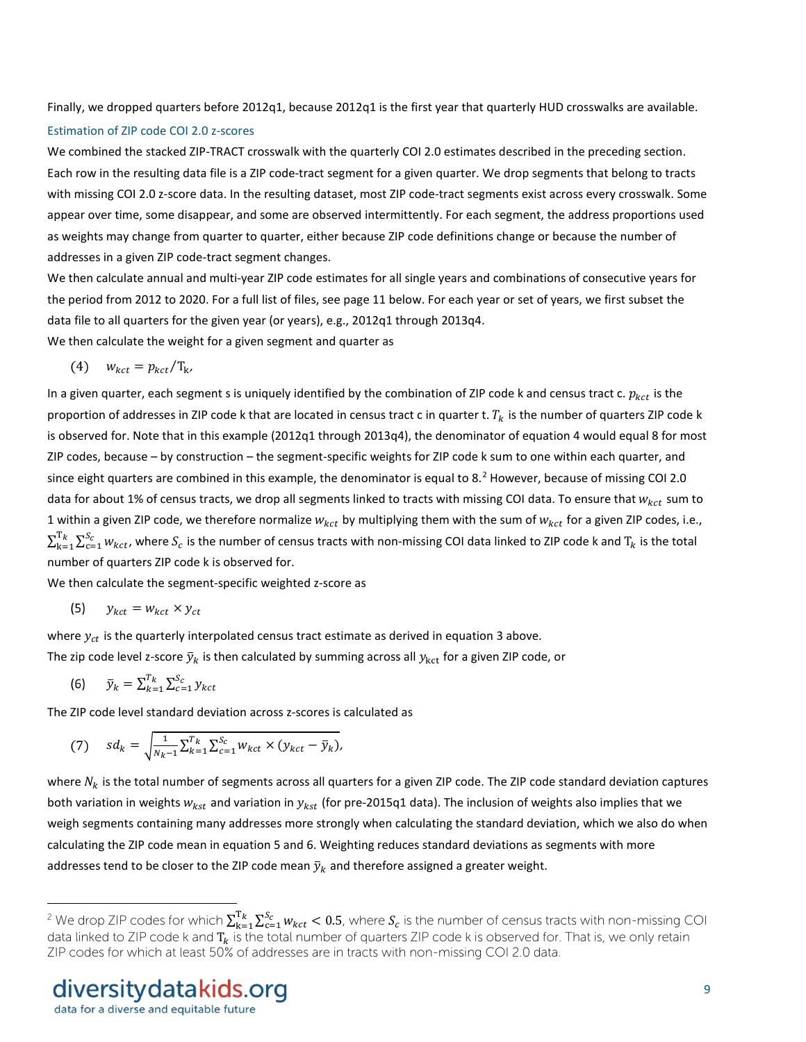Finally, we dropped quarters before 2012q1, because 2012q1 is the first year that quarterly HUD crosswalks are available.

#### Estimation of ZIP code COI 2.0 z-scores

We combined the stacked ZIP-TRACT crosswalk with the quarterly COI 2.0 estimates described in the preceding section. Each row in the resulting data file is a ZIP code-tract segment for a given quarter. We drop segments that belong to tracts with missing COI 2.0 z-score data. In the resulting dataset, most ZIP code-tract segments exist across every crosswalk. Some appear over time, some disappear, and some are observed intermittently. For each segment, the address proportions used as weights may change from quarter to quarter, either because ZIP code definitions change or because the number of addresses in a given ZIP code-tract segment changes.

We then calculate annual and multi-year ZIP code estimates for all single years and combinations of consecutive years for the period from 2012 to 2020. For a full list of files, see page 11 below. For each year or set of years, we first subset the data file to all quarters for the given year (or years), e.g., 2012q1 through 2013q4. We then calculate the weight for a given segment and quarter as

$$
(4) \t w_{kct} = p_{kct}/T_{k},
$$

In a given quarter, each segment s is uniquely identified by the combination of ZIP code k and census tract c.  $p_{kct}$  is the proportion of addresses in ZIP code k that are located in census tract c in quarter t.  $T_k$  is the number of quarters ZIP code k is observed for. Note that in this example (2012q1 through 2013q4), the denominator of equation 4 would equal 8 for most ZIP codes, because – by construction – the segment-specific weights for ZIP code k sum to one within each quarter, and since eight quarters are combined in this example, the denominator is equal to 8.<sup>[2](#page-8-0)</sup> However, because of missing COI 2.0 data for about 1% of census tracts, we drop all segments linked to tracts with missing COI data. To ensure that  $w_{kct}$  sum to 1 within a given ZIP code, we therefore normalize  $w_{kct}$  by multiplying them with the sum of  $w_{kct}$  for a given ZIP codes, i.e.,  $\sum_{k=1}^{T_k}\sum_{c=1}^{S_c}w_{kct}$ , where  $S_c$  is the number of census tracts with non-missing COI data linked to ZIP code k and  $T_k$  is the total number of quarters ZIP code k is observed for.

We then calculate the segment-specific weighted z-score as

$$
(5) \qquad y_{kct} = w_{kct} \times y_{ct}
$$

where  $y_{ct}$  is the quarterly interpolated census tract estimate as derived in equation 3 above.

The zip code level z-score  $\bar{y}_k$  is then calculated by summing across all  $y_{kct}$  for a given ZIP code, or

$$
(6) \qquad \bar{y}_k = \sum_{k=1}^{T_k} \sum_{c=1}^{S_c} y_{kct}
$$

 $\overline{a}$ 

The ZIP code level standard deviation across z-scores is calculated as

(7) 
$$
sd_k = \sqrt{\frac{1}{N_{k-1}}\sum_{k=1}^{T_k}\sum_{c=1}^{S_c}w_{kct}\times(y_{kct}-\bar{y}_k)},
$$

where  $N_k$  is the total number of segments across all quarters for a given ZIP code. The ZIP code standard deviation captures both variation in weights  $w_{kst}$  and variation in  $y_{kst}$  (for pre-2015q1 data). The inclusion of weights also implies that we weigh segments containing many addresses more strongly when calculating the standard deviation, which we also do when calculating the ZIP code mean in equation 5 and 6. Weighting reduces standard deviations as segments with more addresses tend to be closer to the ZIP code mean  $\bar{y}_k$  and therefore assigned a greater weight.

<span id="page-8-0"></span><sup>&</sup>lt;sup>2</sup> We drop ZIP codes for which  $\sum_{k=1}^{T_k}\sum_{c=1}^{S_c}w_{kct}$  < 0.5, where  $S_c$  is the number of census tracts with non-missing COI data linked to ZIP code k and  $\rm T_k$  is the total number of quarters ZIP code k is observed for. That is, we only retain ZIP codes for which at least 50% of addresses are in tracts with non-missing COI 2.0 data.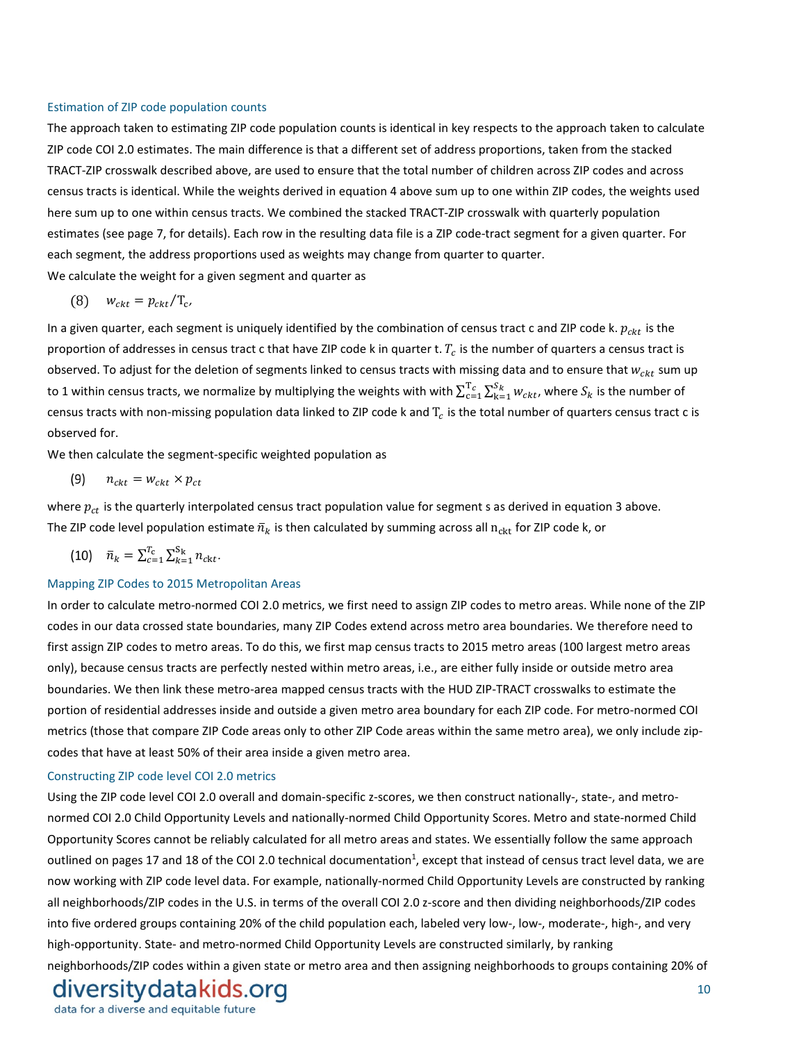#### Estimation of ZIP code population counts

The approach taken to estimating ZIP code population counts is identical in key respects to the approach taken to calculate ZIP code COI 2.0 estimates. The main difference is that a different set of address proportions, taken from the stacked TRACT-ZIP crosswalk described above, are used to ensure that the total number of children across ZIP codes and across census tracts is identical. While the weights derived in equation 4 above sum up to one within ZIP codes, the weights used here sum up to one within census tracts. We combined the stacked TRACT-ZIP crosswalk with quarterly population estimates (see page 7, for details). Each row in the resulting data file is a ZIP code-tract segment for a given quarter. For each segment, the address proportions used as weights may change from quarter to quarter.

We calculate the weight for a given segment and quarter as

$$
(8) \t w_{ckt} = p_{ckt}/T_c,
$$

In a given quarter, each segment is uniquely identified by the combination of census tract c and ZIP code k.  $p_{ckt}$  is the proportion of addresses in census tract c that have ZIP code k in quarter t.  $T_c$  is the number of quarters a census tract is observed. To adjust for the deletion of segments linked to census tracts with missing data and to ensure that  $w_{ck}$  sum up to 1 within census tracts, we normalize by multiplying the weights with with  $\sum_{c=1}^{T_C}\sum_{k=1}^{S_k}w_{ckt}$ , where  $S_k$  is the number of census tracts with non-missing population data linked to ZIP code k and  $T_c$  is the total number of quarters census tract c is observed for.

We then calculate the segment-specific weighted population as

$$
(9) \qquad n_{\text{ckt}} = w_{\text{ckt}} \times p_{\text{ct}}
$$

where  $p_{ct}$  is the quarterly interpolated census tract population value for segment s as derived in equation 3 above. The ZIP code level population estimate  $\bar{n}_k$  is then calculated by summing across all n<sub>ckt</sub> for ZIP code k, or

(10) 
$$
\bar{n}_k = \sum_{c=1}^{T_c} \sum_{k=1}^{S_k} n_{ckt}.
$$

#### Mapping ZIP Codes to 2015 Metropolitan Areas

In order to calculate metro-normed COI 2.0 metrics, we first need to assign ZIP codes to metro areas. While none of the ZIP codes in our data crossed state boundaries, many ZIP Codes extend across metro area boundaries. We therefore need to first assign ZIP codes to metro areas. To do this, we first map census tracts to 2015 metro areas (100 largest metro areas only), because census tracts are perfectly nested within metro areas, i.e., are either fully inside or outside metro area boundaries. We then link these metro-area mapped census tracts with the HUD ZIP-TRACT crosswalks to estimate the portion of residential addresses inside and outside a given metro area boundary for each ZIP code. For metro-normed COI metrics (those that compare ZIP Code areas only to other ZIP Code areas within the same metro area), we only include zipcodes that have at least 50% of their area inside a given metro area.

#### Constructing ZIP code level COI 2.0 metrics

Using the ZIP code level COI 2.0 overall and domain-specific z-scores, we then construct nationally-, state-, and metronormed COI 2.0 Child Opportunity Levels and nationally-normed Child Opportunity Scores. Metro and state-normed Child Opportunity Scores cannot be reliably calculated for all metro areas and states. We essentially follow the same approach outlined on pages 17 and 18 of the COI 2.0 technical documentation<sup>1</sup>, except that instead of census tract level data, we are now working with ZIP code level data. For example, nationally-normed Child Opportunity Levels are constructed by ranking all neighborhoods/ZIP codes in the U.S. in terms of the overall COI 2.0 z-score and then dividing neighborhoods/ZIP codes into five ordered groups containing 20% of the child population each, labeled very low-, low-, moderate-, high-, and very high-opportunity. State- and metro-normed Child Opportunity Levels are constructed similarly, by ranking neighborhoods/ZIP codes within a given state or metro area and then assigning neighborhoods to groups containing 20% of

# diversity datakids.org

data for a diverse and equitable future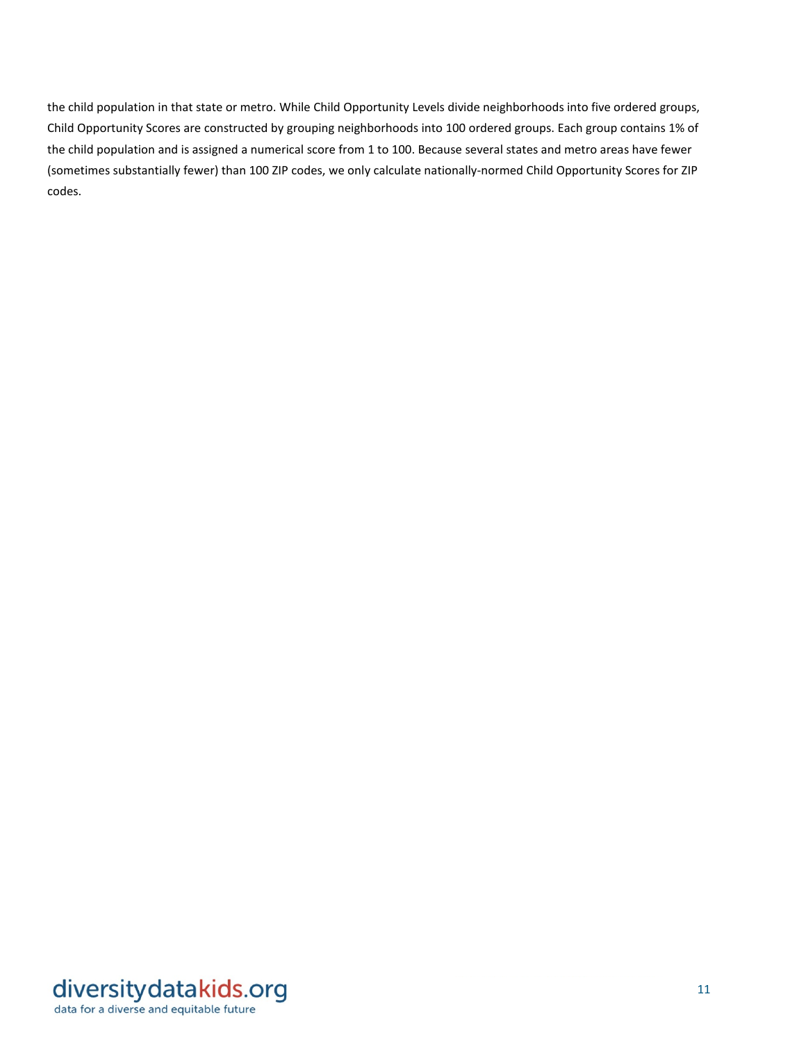the child population in that state or metro. While Child Opportunity Levels divide neighborhoods into five ordered groups, Child Opportunity Scores are constructed by grouping neighborhoods into 100 ordered groups. Each group contains 1% of the child population and is assigned a numerical score from 1 to 100. Because several states and metro areas have fewer (sometimes substantially fewer) than 100 ZIP codes, we only calculate nationally-normed Child Opportunity Scores for ZIP codes.

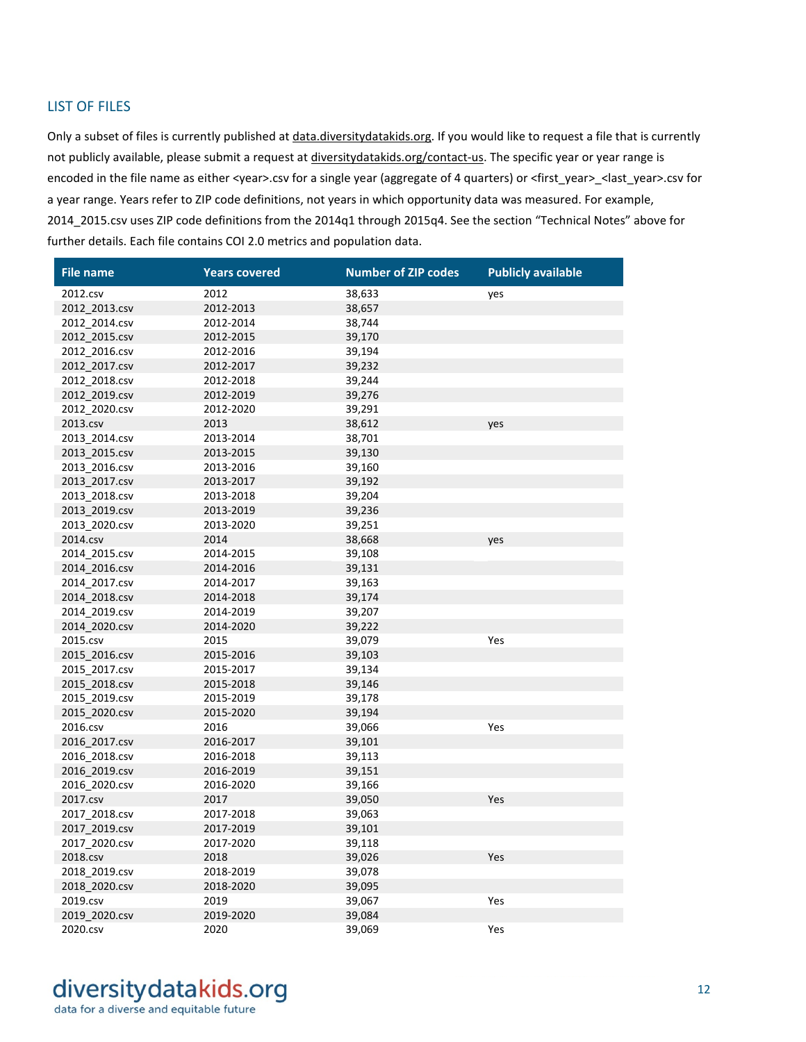#### LIST OF FILES

Only a subset of files is currently published a[t data.diversitydatakids.org.](https://data.diversitydatakids.org/) If you would like to request a file that is currently not publicly available, please submit a request at *diversitydatakids.org/contact-us*. The specific year or year range is encoded in the file name as either <year>.csv for a single year (aggregate of 4 quarters) or <first\_year>\_<last\_year>.csv for a year range. Years refer to ZIP code definitions, not years in which opportunity data was measured. For example, 2014\_2015.csv uses ZIP code definitions from the 2014q1 through 2015q4. See the section "Technical Notes" above for further details. Each file contains COI 2.0 metrics and population data.

| <b>File name</b> | <b>Years covered</b> | <b>Number of ZIP codes</b> | <b>Publicly available</b> |
|------------------|----------------------|----------------------------|---------------------------|
| 2012.csv         | 2012                 | 38,633                     | yes                       |
| 2012 2013.csv    | 2012-2013            | 38,657                     |                           |
| 2012 2014.csv    | 2012-2014            | 38,744                     |                           |
| 2012_2015.csv    | 2012-2015            | 39,170                     |                           |
| 2012_2016.csv    | 2012-2016            | 39,194                     |                           |
| 2012 2017.csv    | 2012-2017            | 39,232                     |                           |
| 2012 2018.csv    | 2012-2018            | 39,244                     |                           |
| 2012 2019.csv    | 2012-2019            | 39,276                     |                           |
| 2012 2020.csv    | 2012-2020            | 39,291                     |                           |
| 2013.csv         | 2013                 | 38,612                     | yes                       |
| 2013_2014.csv    | 2013-2014            | 38,701                     |                           |
| 2013 2015.csv    | 2013-2015            | 39,130                     |                           |
| 2013 2016.csv    | 2013-2016            | 39,160                     |                           |
| 2013 2017.csv    | 2013-2017            | 39,192                     |                           |
| 2013_2018.csv    | 2013-2018            | 39,204                     |                           |
| 2013 2019.csv    | 2013-2019            | 39,236                     |                           |
| 2013_2020.csv    | 2013-2020            | 39,251                     |                           |
| 2014.csv         | 2014                 | 38,668                     | yes                       |
| 2014 2015.csv    | 2014-2015            | 39,108                     |                           |
| 2014 2016.csv    | 2014-2016            | 39,131                     |                           |
| 2014_2017.csv    | 2014-2017            | 39,163                     |                           |
| 2014_2018.csv    | 2014-2018            | 39,174                     |                           |
| 2014_2019.csv    | 2014-2019            | 39,207                     |                           |
| 2014 2020.csv    | 2014-2020            | 39,222                     |                           |
| 2015.csv         | 2015                 | 39,079                     | Yes                       |
| 2015 2016.csv    | 2015-2016            | 39,103                     |                           |
| 2015_2017.csv    | 2015-2017            | 39,134                     |                           |
| 2015_2018.csv    | 2015-2018            | 39,146                     |                           |
| 2015 2019.csv    | 2015-2019            | 39,178                     |                           |
| 2015 2020.csv    | 2015-2020            | 39,194                     |                           |
| 2016.csv         | 2016                 | 39,066                     | Yes                       |
| 2016_2017.csv    | 2016-2017            | 39,101                     |                           |
| 2016_2018.csv    | 2016-2018            | 39,113                     |                           |
| 2016_2019.csv    | 2016-2019            | 39,151                     |                           |
| 2016 2020.csv    | 2016-2020            | 39,166                     |                           |
| 2017.csv         | 2017                 | 39,050                     | Yes                       |
| 2017 2018.csv    | 2017-2018            | 39,063                     |                           |
| 2017_2019.csv    | 2017-2019            | 39,101                     |                           |
| 2017_2020.csv    | 2017-2020            | 39,118                     |                           |
| 2018.csv         | 2018                 | 39,026                     | Yes                       |
| 2018 2019.csv    | 2018-2019            | 39,078                     |                           |
| 2018 2020.csv    | 2018-2020            | 39,095                     |                           |
| 2019.csv         | 2019                 | 39,067                     | Yes                       |
| 2019_2020.csv    | 2019-2020            | 39,084                     |                           |
| 2020.csv         | 2020                 | 39,069                     | Yes                       |